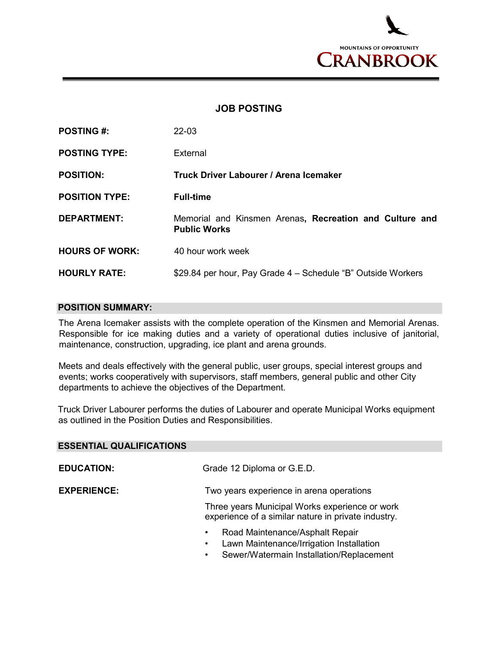

## **JOB POSTING**

| <b>POSTING #:</b>     | $22 - 03$                                                                      |
|-----------------------|--------------------------------------------------------------------------------|
| <b>POSTING TYPE:</b>  | External                                                                       |
| <b>POSITION:</b>      | Truck Driver Labourer / Arena Icemaker                                         |
| <b>POSITION TYPE:</b> | <b>Full-time</b>                                                               |
| <b>DEPARTMENT:</b>    | Memorial and Kinsmen Arenas, Recreation and Culture and<br><b>Public Works</b> |
| <b>HOURS OF WORK:</b> | 40 hour work week                                                              |
| <b>HOURLY RATE:</b>   | \$29.84 per hour, Pay Grade 4 – Schedule "B" Outside Workers                   |

## **POSITION SUMMARY:**

The Arena Icemaker assists with the complete operation of the Kinsmen and Memorial Arenas. Responsible for ice making duties and a variety of operational duties inclusive of janitorial, maintenance, construction, upgrading, ice plant and arena grounds.

Meets and deals effectively with the general public, user groups, special interest groups and events; works cooperatively with supervisors, staff members, general public and other City departments to achieve the objectives of the Department.

Truck Driver Labourer performs the duties of Labourer and operate Municipal Works equipment as outlined in the Position Duties and Responsibilities.

| <b>ESSENTIAL QUALIFICATIONS</b> |                                                                                                                                                                |
|---------------------------------|----------------------------------------------------------------------------------------------------------------------------------------------------------------|
| <b>EDUCATION:</b>               | Grade 12 Diploma or G.E.D.                                                                                                                                     |
| <b>EXPERIENCE:</b>              | Two years experience in arena operations                                                                                                                       |
|                                 | Three years Municipal Works experience or work<br>experience of a similar nature in private industry.                                                          |
|                                 | Road Maintenance/Asphalt Repair<br>$\bullet$<br>Lawn Maintenance/Irrigation Installation<br>$\bullet$<br>Sewer/Watermain Installation/Replacement<br>$\bullet$ |